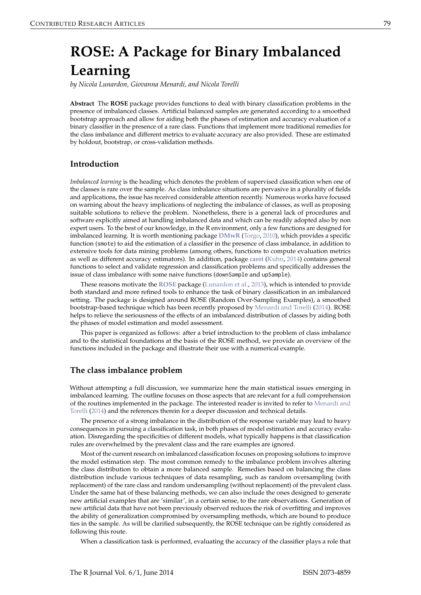# <span id="page-0-0"></span>**ROSE: A Package for Binary Imbalanced Learning**

*by Nicola Lunardon, Giovanna Menardi, and Nicola Torelli*

**Abstract** The **ROSE** package provides functions to deal with binary classification problems in the presence of imbalanced classes. Artificial balanced samples are generated according to a smoothed bootstrap approach and allow for aiding both the phases of estimation and accuracy evaluation of a binary classifier in the presence of a rare class. Functions that implement more traditional remedies for the class imbalance and different metrics to evaluate accuracy are also provided. These are estimated by holdout, bootstrap, or cross-validation methods.

# **Introduction**

*Imbalanced learning* is the heading which denotes the problem of supervised classification when one of the classes is rare over the sample. As class imbalance situations are pervasive in a plurality of fields and applications, the issue has received considerable attention recently. Numerous works have focused on warning about the heavy implications of neglecting the imbalance of classes, as well as proposing suitable solutions to relieve the problem. Nonetheless, there is a general lack of procedures and software explicitly aimed at handling imbalanced data and which can be readily adopted also by non expert users. To the best of our knowledge, in the R environment, only a few functions are designed for imbalanced learning. It is worth mentioning package **[DMwR](http://CRAN.R-project.org/package=DMwR)** [\(Torgo,](#page-9-0) [2010\)](#page-9-0), which provides a specific function (smote) to aid the estimation of a classifier in the presence of class imbalance, in addition to extensive tools for data mining problems (among others, functions to compute evaluation metrics as well as different accuracy estimators). In addition, package **[caret](http://CRAN.R-project.org/package=caret)** [\(Kuhn,](#page-9-1) [2014\)](#page-9-1) contains general functions to select and validate regression and classification problems and specifically addresses the issue of class imbalance with some naive functions (downSample and upSample).

These reasons motivate the **[ROSE](http://CRAN.R-project.org/package=ROSE)** package [\(Lunardon et al.,](#page-9-2) [2013\)](#page-9-2), which is intended to provide both standard and more refined tools to enhance the task of binary classification in an imbalanced setting. The package is designed around ROSE (Random Over-Sampling Examples), a smoothed bootstrap-based technique which has been recently proposed by [Menardi and Torelli](#page-9-3) [\(2014\)](#page-9-3). ROSE helps to relieve the seriousness of the effects of an imbalanced distribution of classes by aiding both the phases of model estimation and model assessment.

This paper is organized as follows: after a brief introduction to the problem of class imbalance and to the statistical foundations at the basis of the ROSE method, we provide an overview of the functions included in the package and illustrate their use with a numerical example.

# **The class imbalance problem**

Without attempting a full discussion, we summarize here the main statistical issues emerging in imbalanced learning. The outline focuses on those aspects that are relevant for a full comprehension of the routines implemented in the package. The interested reader is invited to refer to [Menardi and](#page-9-3) [Torelli](#page-9-3) [\(2014\)](#page-9-3) and the references therein for a deeper discussion and technical details.

The presence of a strong imbalance in the distribution of the response variable may lead to heavy consequences in pursuing a classification task, in both phases of model estimation and accuracy evaluation. Disregarding the specificities of different models, what typically happens is that classification rules are overwhelmed by the prevalent class and the rare examples are ignored.

Most of the current research on imbalanced classification focuses on proposing solutions to improve the model estimation step. The most common remedy to the imbalance problem involves altering the class distribution to obtain a more balanced sample. Remedies based on balancing the class distribution include various techniques of data resampling, such as random oversampling (with replacement) of the rare class and random undersampling (without replacement) of the prevalent class. Under the same hat of these balancing methods, we can also include the ones designed to generate new artificial examples that are 'similar', in a certain sense, to the rare observations. Generation of new artificial data that have not been previously observed reduces the risk of overfitting and improves the ability of generalization compromised by oversampling methods, which are bound to produce ties in the sample. As will be clarified subsequently, the ROSE technique can be rightly considered as following this route.

When a classification task is performed, evaluating the accuracy of the classifier plays a role that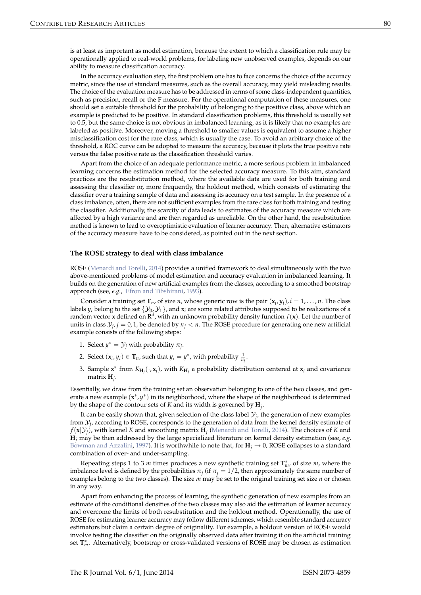<span id="page-1-0"></span>is at least as important as model estimation, because the extent to which a classification rule may be operationally applied to real-world problems, for labeling new unobserved examples, depends on our ability to measure classification accuracy.

In the accuracy evaluation step, the first problem one has to face concerns the choice of the accuracy metric, since the use of standard measures, such as the overall accuracy, may yield misleading results. The choice of the evaluation measure has to be addressed in terms of some class-independent quantities, such as precision, recall or the F measure. For the operational computation of these measures, one should set a suitable threshold for the probability of belonging to the positive class, above which an example is predicted to be positive. In standard classification problems, this threshold is usually set to 0.5, but the same choice is not obvious in imbalanced learning, as it is likely that no examples are labeled as positive. Moreover, moving a threshold to smaller values is equivalent to assume a higher misclassification cost for the rare class, which is usually the case. To avoid an arbitrary choice of the threshold, a ROC curve can be adopted to measure the accuracy, because it plots the true positive rate versus the false positive rate as the classification threshold varies.

Apart from the choice of an adequate performance metric, a more serious problem in imbalanced learning concerns the estimation method for the selected accuracy measure. To this aim, standard practices are the resubstitution method, where the available data are used for both training and assessing the classifier or, more frequently, the holdout method, which consists of estimating the classifier over a training sample of data and assessing its accuracy on a test sample. In the presence of a class imbalance, often, there are not sufficient examples from the rare class for both training and testing the classifier. Additionally, the scarcity of data leads to estimates of the accuracy measure which are affected by a high variance and are then regarded as unreliable. On the other hand, the resubstitution method is known to lead to overoptimistic evaluation of learner accuracy. Then, alternative estimators of the accuracy measure have to be considered, as pointed out in the next section.

#### **The ROSE strategy to deal with class imbalance**

ROSE [\(Menardi and Torelli,](#page-9-3) [2014\)](#page-9-3) provides a unified framework to deal simultaneously with the two above-mentioned problems of model estimation and accuracy evaluation in imbalanced learning. It builds on the generation of new artificial examples from the classes, according to a smoothed bootstrap approach (see, *e.g.*, [Efron and Tibshirani,](#page-9-4) [1993\)](#page-9-4).

Consider a training set  $\mathbf{T}_n$ , of size *n*, whose generic row is the pair  $(\mathbf{x}_i, y_i)$ ,  $i = 1, ..., n$ . The class labels  $y_i$  belong to the set  $\{ \mathcal{Y}_0, \mathcal{Y}_1 \}$ , and  $\mathbf{x}_i$  are some related attributes supposed to be realizations of a random vector **x** defined on  $\mathbb{R}^d$  , with an unknown probability density function  $f(\mathbf{x})$ . Let the number of units in class  $\mathcal{Y}_j$ ,  $j = 0, 1$ , be denoted by  $n_j < n$ . The ROSE procedure for generating one new artificial example consists of the following steps:

- 1. Select  $y^* = Y_j$  with probability  $\pi_j$ .
- 2. Select  $(\mathbf{x}_i, y_i) \in \mathbf{T}_n$ , such that  $y_i = y^*$ , with probability  $\frac{1}{n_i}$ .
- 3. Sample  $\mathbf{x}^*$  from  $K_{\mathbf{H}_j}(\cdot,\mathbf{x}_i)$ , with  $K_{\mathbf{H}_j}$  a probability distribution centered at  $\mathbf{x}_i$  and covariance matrix **H***<sup>j</sup>* .

Essentially, we draw from the training set an observation belonging to one of the two classes, and generate a new example (x<sup>\*</sup>, y<sup>\*</sup>) in its neighborhood, where the shape of the neighborhood is determined by the shape of the contour sets of *K* and its width is governed by **H***<sup>j</sup>* .

It can be easily shown that, given selection of the class label  $\mathcal{Y}_j$ , the generation of new examples from  $\mathcal{Y}_j$ , according to ROSE, corresponds to the generation of data from the kernel density estimate of  $f(\mathbf{x}|\mathcal{Y}_j)$ , with kernel *K* and smoothing matrix  $\mathbf{H}_j$  [\(Menardi and Torelli,](#page-9-3) [2014\)](#page-9-3). The choices of *K* and **H***<sup>j</sup>* may be then addressed by the large specialized literature on kernel density estimation (see, *e.g.* [Bowman and Azzalini,](#page-9-5) [1997\)](#page-9-5). It is worthwhile to note that, for  $H_i \rightarrow 0$ , ROSE collapses to a standard combination of over- and under-sampling.

Repeating steps 1 to 3 *m* times produces a new synthetic training set **T** ∗ *<sup>m</sup>*, of size *m*, where the imbalance level is defined by the probabilities  $\pi_j$  (if  $\pi_j = 1/2$ , then approximately the same number of examples belong to the two classes). The size *m* may be set to the original training set size *n* or chosen in any way.

Apart from enhancing the process of learning, the synthetic generation of new examples from an estimate of the conditional densities of the two classes may also aid the estimation of learner accuracy and overcome the limits of both resubstitution and the holdout method. Operationally, the use of ROSE for estimating learner accuracy may follow different schemes, which resemble standard accuracy estimators but claim a certain degree of originality. For example, a holdout version of ROSE would involve testing the classifier on the originally observed data after training it on the artificial training set **T** ∗ *<sup>m</sup>*. Alternatively, bootstrap or cross-validated versions of ROSE may be chosen as estimation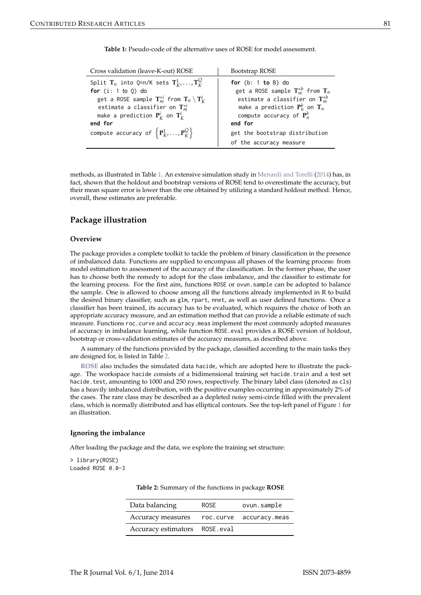<span id="page-2-0"></span>

| Cross validation (leave-K-out) ROSE                                                                                                                                                                                                                                                           | Bootstrap ROSE                                                                                                                                                                                                               |
|-----------------------------------------------------------------------------------------------------------------------------------------------------------------------------------------------------------------------------------------------------------------------------------------------|------------------------------------------------------------------------------------------------------------------------------------------------------------------------------------------------------------------------------|
| Split $\mathbf{T}_n$ into Q=n/K sets $\mathbf{T}_k^1, \ldots, \mathbf{T}_k^Q$<br>for $(i: 1 to 0)$ do<br>get a ROSE sample $\mathbf{T}_{m}^{*i}$ from $\mathbf{T}_{n} \setminus \mathbf{T}_{K}^{i}$<br>estimate a classifier on $\mathbf{T}^{*i}_{m}$<br>make a prediction $P_K^i$ on $T_K^i$ | for $(b: 1 to B)$ do<br>get a ROSE sample $\mathbf{T}_{m}^{*b}$ from $\mathbf{T}_{n}$<br>estimate a classifier on $\mathbf{T}^{*b}_m$<br>make a prediction $\mathbf{P}_n^b$ on $\mathbf{T}_n$<br>compute accuracy of $P_n^b$ |
| end for                                                                                                                                                                                                                                                                                       | end for                                                                                                                                                                                                                      |
| compute accuracy of $\left\{ \mathbf{P}_{K}^{1},\ldots,\mathbf{P}_{K}^{Q}\right\}$                                                                                                                                                                                                            | get the bootstrap distribution                                                                                                                                                                                               |
|                                                                                                                                                                                                                                                                                               | of the accuracy measure                                                                                                                                                                                                      |

<span id="page-2-2"></span>**Table 1:** Pseudo-code of the alternative uses of ROSE for model assessment.

methods, as illustrated in Table [1.](#page-2-0) An extensive simulation study in [Menardi and Torelli](#page-9-3) [\(2014\)](#page-9-3) has, in fact, shown that the holdout and bootstrap versions of ROSE tend to overestimate the accuracy, but their mean square error is lower than the one obtained by utilizing a standard holdout method. Hence, overall, these estimates are preferable.

# **Package illustration**

## **Overview**

The package provides a complete toolkit to tackle the problem of binary classification in the presence of imbalanced data. Functions are supplied to encompass all phases of the learning process: from model estimation to assessment of the accuracy of the classification. In the former phase, the user has to choose both the remedy to adopt for the class imbalance, and the classifier to estimate for the learning process. For the first aim, functions ROSE or ovun.sample can be adopted to balance the sample. One is allowed to choose among all the functions already implemented in R to build the desired binary classifier, such as glm, rpart, nnet, as well as user defined functions. Once a classifier has been trained, its accuracy has to be evaluated, which requires the choice of both an appropriate accuracy measure, and an estimation method that can provide a reliable estimate of such measure. Functions roc.curve and accuracy.meas implement the most commonly adopted measures of accuracy in imbalance learning, while function ROSE.eval provides a ROSE version of holdout, bootstrap or cross-validation estimates of the accuracy measures, as described above.

A summary of the functions provided by the package, classified according to the main tasks they are designed for, is listed in Table [2.](#page-2-1)

**[ROSE](http://CRAN.R-project.org/package=ROSE)** also includes the simulated data hacide, which are adopted here to illustrate the package. The workspace hacide consists of a bidimensional training set hacide.train and a test set hacide.test, amounting to 1000 and 250 rows, respectively. The binary label class (denoted as cls) has a heavily imbalanced distribution, with the positive examples occurring in approximately 2% of the cases. The rare class may be described as a depleted noisy semi-circle filled with the prevalent class, which is normally distributed and has elliptical contours. See the top-left panel of Figure [1](#page-3-0) for an illustration.

### **Ignoring the imbalance**

After loading the package and the data, we explore the training set structure:

<span id="page-2-1"></span>> library(ROSE) Loaded ROSE 0.0-3

|  | <b>Table 2:</b> Summary of the functions in package <b>ROSE</b> |  |  |  |  |
|--|-----------------------------------------------------------------|--|--|--|--|
|--|-----------------------------------------------------------------|--|--|--|--|

| Data balancing                | <b>ROSE</b> | ovun.sample             |
|-------------------------------|-------------|-------------------------|
| Accuracy measures             |             | roc.curve accuracy.meas |
| Accuracy estimators ROSE.eval |             |                         |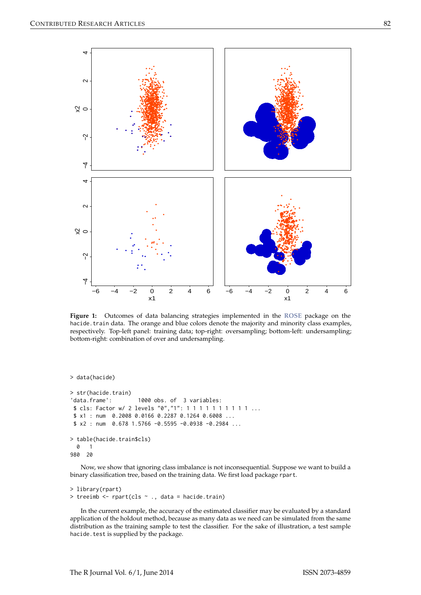<span id="page-3-0"></span>

Figure 1: Outcomes of data balancing strategies implemented in the ROSE package on the hacide. train data. The orange and blue colors denote the majority and minority class examples, respectively. Top-left panel: training data; top-right: oversampling; bottom-left: undersampling; bottom-right: combination of over and undersampling.

> data(hacide)

```
> str(hacide.train)
'data.frame':
                      1000 obs. of 3 variables:
$ cls: Factor w/ 2 levels "0", "1": 1 1 1 1 1 1 1 1 1 1 ...
$ x1 : num  0.2008  0.0166  0.2287  0.1264  0.6008 ...
$ x2 : num 0.678 1.5766 -0.5595 -0.0938 -0.2984 ...
> table(hacide.train$cls)
 0
     \overline{1}980
    20
```
Now, we show that ignoring class imbalance is not inconsequential. Suppose we want to build a binary classification tree, based on the training data. We first load package rpart.

```
> library(rpart)
> treeimb <- rpart(cls ~ ., data = hacide.train)
```
In the current example, the accuracy of the estimated classifier may be evaluated by a standard application of the holdout method, because as many data as we need can be simulated from the same distribution as the training sample to test the classifier. For the sake of illustration, a test sample hacide. test is supplied by the package.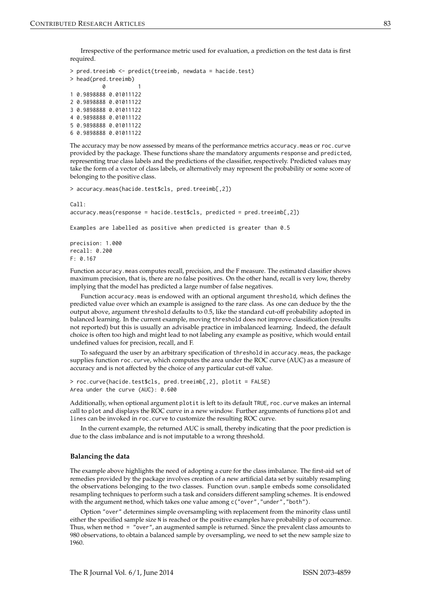Irrespective of the performance metric used for evaluation, a prediction on the test data is first required.

```
> pred.treeimb <- predict(treeimb, newdata = hacide.test)
> head(pred.treeimb)
          \bm{\varnothing}1 0.9898888 0.01011122
2 0.9898888 0.01011122
3 0.9898888 0.01011122
4 0.9898888 0.01011122
5 0.9898888 0.01011122
6 0.9898888 0.01011122
```
The accuracy may be now assessed by means of the performance metrics accuracy.meas or roc.curve provided by the package. These functions share the mandatory arguments response and predicted, representing true class labels and the predictions of the classifier, respectively. Predicted values may take the form of a vector of class labels, or alternatively may represent the probability or some score of belonging to the positive class.

```
> accuracy.meas(hacide.test$cls, pred.treeimb[,2])
```
 $Ca11:$  $accuracy.$ meas(response = hacide.test\$cls, predicted = pred.treeimb[,2])

Examples are labelled as positive when predicted is greater than 0.5

```
precision: 1.000
real: 0.200F: 0.167
```
Function accuracy.meas computes recall, precision, and the F measure. The estimated classifier shows maximum precision, that is, there are no false positives. On the other hand, recall is very low, thereby implying that the model has predicted a large number of false negatives.

Function accuracy.meas is endowed with an optional argument threshold, which defines the predicted value over which an example is assigned to the rare class. As one can deduce by the the output above, argument threshold defaults to 0.5, like the standard cut-off probability adopted in balanced learning. In the current example, moving threshold does not improve classification (results not reported) but this is usually an advisable practice in imbalanced learning. Indeed, the default choice is often too high and might lead to not labeling any example as positive, which would entail undefined values for precision, recall, and F.

To safeguard the user by an arbitrary specification of threshold in accuracy.meas, the package supplies function roc.curve, which computes the area under the ROC curve (AUC) as a measure of accuracy and is not affected by the choice of any particular cut-off value.

```
> roc.curve(hacide.test$cls, pred.treeimb[,2], plotit = FALSE)
Area under the curve (AUC): 0.600
```
Additionally, when optional argument plotit is left to its default TRUE, roc.curve makes an internal call to plot and displays the ROC curve in a new window. Further arguments of functions plot and lines can be invoked in roc.curve to customize the resulting ROC curve.

In the current example, the returned AUC is small, thereby indicating that the poor prediction is due to the class imbalance and is not imputable to a wrong threshold.

#### **Balancing the data**

The example above highlights the need of adopting a cure for the class imbalance. The first-aid set of remedies provided by the package involves creation of a new artificial data set by suitably resampling the observations belonging to the two classes. Function ovun.sample embeds some consolidated resampling techniques to perform such a task and considers different sampling schemes. It is endowed with the argument method, which takes one value among c("over", "under", "both").

Option "over" determines simple oversampling with replacement from the minority class until either the specified sample size N is reached or the positive examples have probability p of occurrence. Thus, when method = "over", an augmented sample is returned. Since the prevalent class amounts to 980 observations, to obtain a balanced sample by oversampling, we need to set the new sample size to 1960.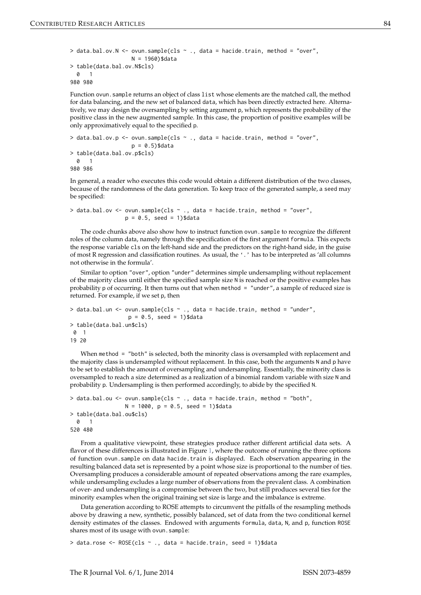```
> data.bal.ov.N <- ovun.sample(cls \sim ., data = hacide.train, method = "over",
                   N = 1960)$data
> table(data.bal.ov.N$cls)
 0 1
980 980
```
Function ovun.sample returns an object of class list whose elements are the matched call, the method for data balancing, and the new set of balanced data, which has been directly extracted here. Alternatively, we may design the oversampling by setting argument p, which represents the probability of the positive class in the new augmented sample. In this case, the proportion of positive examples will be only approximatively equal to the specified p.

```
> data.bal.ov.p <- ovun.sample(cls ~ ., data = hacide.train, method = "over",
                   p = 0.5) $data
> table(data.bal.ov.p$cls)
 0 1
980 986
```
In general, a reader who executes this code would obtain a different distribution of the two classes, because of the randomness of the data generation. To keep trace of the generated sample, a seed may be specified:

```
> data.bal.ov <- ovun.sample(cls ~ ., data = hacide.train, method = "over",
                 p = 0.5, seed = 1)$data
```
The code chunks above also show how to instruct function ovun.sample to recognize the different roles of the column data, namely through the specification of the first argument formula. This expects the response variable cls on the left-hand side and the predictors on the right-hand side, in the guise of most R regression and classification routines. As usual, the '.' has to be interpreted as 'all columns not otherwise in the formula'.

Similar to option "over", option "under" determines simple undersampling without replacement of the majority class until either the specified sample size N is reached or the positive examples has probability p of occurring. It then turns out that when method = "under", a sample of reduced size is returned. For example, if we set p, then

```
> data.bal.un <- ovun.sample(cls ~ ., data = hacide.train, method = "under",
                  p = 0.5, seed = 1)$data
> table(data.bal.un$cls)
0 1
19 20
```
When method = "both" is selected, both the minority class is oversampled with replacement and the majority class is undersampled without replacement. In this case, both the arguments N and p have to be set to establish the amount of oversampling and undersampling. Essentially, the minority class is oversampled to reach a size determined as a realization of a binomial random variable with size N and probability p. Undersampling is then performed accordingly, to abide by the specified N.

```
> data.bal.ou <- ovun.sample(cls ~ ., data = hacide.train, method = "both",
                 N = 1000, p = 0.5, seed = 1)$data
> table(data.bal.ou$cls)
 0 1
520 480
```
From a qualitative viewpoint, these strategies produce rather different artificial data sets. A flavor of these differences is illustrated in Figure [1,](#page-3-0) where the outcome of running the three options of function ovun.sample on data hacide.train is displayed. Each observation appearing in the resulting balanced data set is represented by a point whose size is proportional to the number of ties. Oversampling produces a considerable amount of repeated observations among the rare examples, while undersampling excludes a large number of observations from the prevalent class. A combination of over- and undersampling is a compromise between the two, but still produces several ties for the minority examples when the original training set size is large and the imbalance is extreme.

Data generation according to ROSE attempts to circumvent the pitfalls of the resampling methods above by drawing a new, synthetic, possibly balanced, set of data from the two conditional kernel density estimates of the classes. Endowed with arguments formula, data, N, and p, function ROSE shares most of its usage with ovun.sample:

> data.rose <- ROSE(cls ~ ., data = hacide.train, seed = 1)\$data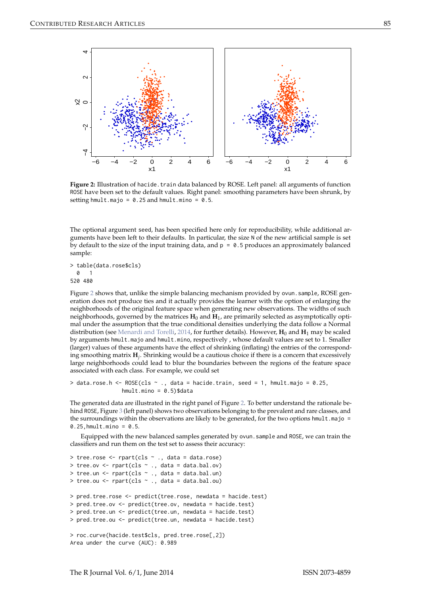<span id="page-6-1"></span><span id="page-6-0"></span>

Figure 2: Illustration of hacide.train data balanced by ROSE. Left panel: all arguments of function ROSE have been set to the default values. Right panel: smoothing parameters have been shrunk, by setting hmult.majo =  $0.25$  and hmult.mino =  $0.5$ .

The optional argument seed, has been specified here only for reproducibility, while additional arguments have been left to their defaults. In particular, the size N of the new artificial sample is set by default to the size of the input training data, and  $p = 0.5$  produces an approximately balanced sample:

> table(data.rose\$cls) 0 1 520 480

Figure [2](#page-6-0) shows that, unlike the simple balancing mechanism provided by ovun. sample, ROSE generation does not produce ties and it actually provides the learner with the option of enlarging the neighborhoods of the original feature space when generating new observations. The widths of such neighborhoods, governed by the matrices **H**<sup>0</sup> and **H**<sup>1</sup> , are primarily selected as asymptotically optimal under the assumption that the true conditional densities underlying the data follow a Normal distribution (see [Menardi and Torelli,](#page-9-3) [2014,](#page-9-3) for further details). However, H<sub>0</sub> and H<sub>1</sub> may be scaled by arguments hmult.majo and hmult.mino, respectively , whose default values are set to 1. Smaller (larger) values of these arguments have the effect of shrinking (inflating) the entries of the corresponding smoothing matrix  $\mathbf{H}_j$ . Shrinking would be a cautious choice if there is a concern that excessively large neighborhoods could lead to blur the boundaries between the regions of the feature space associated with each class. For example, we could set

```
> data.rose.h <- ROSE(cls \sim ., data = hacide.train, seed = 1, hmult.majo = 0.25,
                hmult.mino = 0.5)$data
```
The generated data are illustrated in the right panel of Figure [2.](#page-6-0) To better understand the rationale be-hind ROSE, Figure [3](#page-7-0) (left panel) shows two observations belonging to the prevalent and rare classes, and the surroundings within the observations are likely to be generated, for the two options hmult.majo =  $0.25$ , hmult.mino =  $0.5$ .

Equipped with the new balanced samples generated by ovun.sample and ROSE, we can train the classifiers and run them on the test set to assess their accuracy:

```
> tree.rose \leq rpart(cls \sim ., data = data.rose)
> tree.ov \leq rpart(cls \sim ., data = data.bal.ov)
> tree.un \leq rpart(cls \sim ., data = data.bal.un)
> tree.ou \leq rpart(cls \sim ., data = data.bal.ou)
> pred.tree.rose <- predict(tree.rose, newdata = hacide.test)
> pred.tree.ov <- predict(tree.ov, newdata = hacide.test)
> pred.tree.un <- predict(tree.un, newdata = hacide.test)
> pred.tree.ou <- predict(tree.un, newdata = hacide.test)
> roc.curve(hacide.test$cls, pred.tree.rose[,2])
Area under the curve (AUC): 0.989
```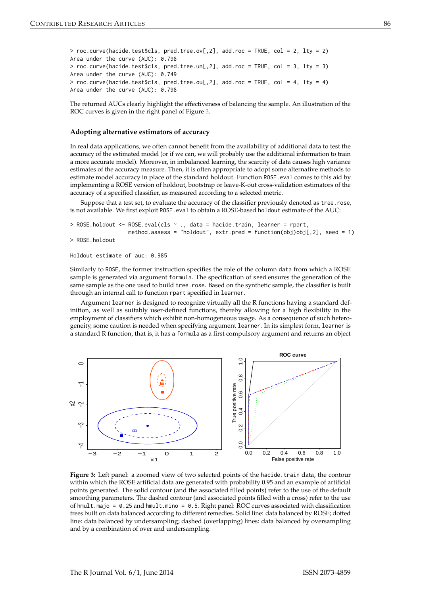> roc.curve(hacide.test\$cls, pred.tree.ov[,2], add.roc = TRUE, col = 2, lty = 2) Area under the curve (AUC): 0.798 > roc.curve(hacide.test\$cls, pred.tree.un[,2], add.roc = TRUE, col = 3, lty = 3) Area under the curve (AUC): 0.749 > roc.curve(hacide.test\$cls, pred.tree.ou[,2], add.roc = TRUE, col = 4, lty = 4) Area under the curve (AUC): 0.798

The returned AUCs clearly highlight the effectiveness of balancing the sample. An illustration of the ROC curves is given in the right panel of Figure [3.](#page-7-0)

### **Adopting alternative estimators of accuracy**

In real data applications, we often cannot benefit from the availability of additional data to test the accuracy of the estimated model (or if we can, we will probably use the additional information to train a more accurate model). Moreover, in imbalanced learning, the scarcity of data causes high variance estimates of the accuracy measure. Then, it is often appropriate to adopt some alternative methods to estimate model accuracy in place of the standard holdout. Function ROSE eval comes to this aid by implementing a ROSE version of holdout, bootstrap or leave-K-out cross-validation estimators of the accuracy of a specified classifier, as measured according to a selected metric.

Suppose that a test set, to evaluate the accuracy of the classifier previously denoted as tree.rose, is not available. We first exploit ROSE. eval to obtain a ROSE-based holdout estimate of the AUC:

```
> ROSE.holdout <- ROSE.eval(cls ~ ., data = hacide.train, learner = rpart,
                  method.assess = "holdout", extr.pred = function(obj)obj[,2], seed = 1)
> ROSE.holdout
```

```
Holdout estimate of auc: 0.985
```
Similarly to ROSE, the former instruction specifies the role of the column data from which a ROSE sample is generated via argument formula. The specification of seed ensures the generation of the same sample as the one used to build tree.rose. Based on the synthetic sample, the classifier is built through an internal call to function rpart specified in learner.

Argument learner is designed to recognize virtually all the R functions having a standard definition, as well as suitably user-defined functions, thereby allowing for a high flexibility in the employment of classifiers which exhibit non-homogeneous usage. As a consequence of such heterogeneity, some caution is needed when specifying argument learner. In its simplest form, learner is a standard R function, that is, it has a formula as a first compulsory argument and returns an object

<span id="page-7-0"></span>

Figure 3: Left panel: a zoomed view of two selected points of the hacide.train data, the contour within which the ROSE artificial data are generated with probability 0.95 and an example of artificial points generated. The solid contour (and the associated filled points) refer to the use of the default smoothing parameters. The dashed contour (and associated points filled with a cross) refer to the use of hmult.majo =  $0.25$  and hmult.mino =  $0.5$ . Right panel: ROC curves associated with classification trees built on data balanced according to different remedies. Solid line: data balanced by ROSE; dotted line: data balanced by undersampling; dashed (overlapping) lines: data balanced by oversampling and by a combination of over and undersampling.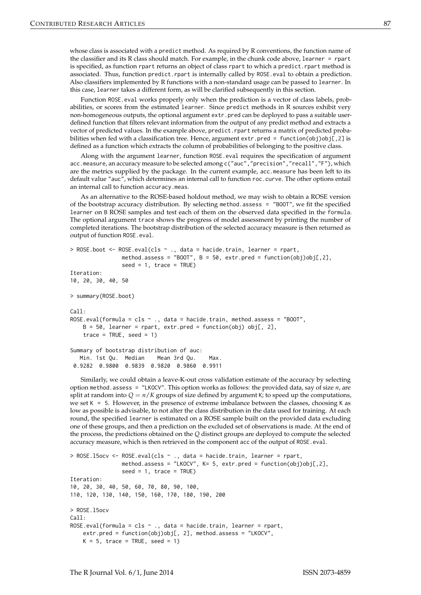whose class is associated with a predict method. As required by R conventions, the function name of the classifier and its R class should match. For example, in the chunk code above, learner = rpart is specified, as function rpart returns an object of class rpart to which a predict.rpart method is associated. Thus, function predict.rpart is internally called by ROSE.eval to obtain a prediction. Also classifiers implemented by R functions with a non-standard usage can be passed to learner. In this case, learner takes a different form, as will be clarified subsequently in this section.

Function ROSE.eval works properly only when the prediction is a vector of class labels, probabilities, or scores from the estimated learner. Since predict methods in R sources exhibit very non-homogeneous outputs, the optional argument extr.pred can be deployed to pass a suitable userdefined function that filters relevant information from the output of any predict method and extracts a vector of predicted values. In the example above, predict.rpart returns a matrix of predicted probabilities when fed with a classification tree. Hence, argument extr.pred = function(obj)obj[,2] is defined as a function which extracts the column of probabilities of belonging to the positive class.

Along with the argument learner, function ROSE.eval requires the specification of argument acc.measure, an accuracy measure to be selected among c("auc","precision","recall","F"), which are the metrics supplied by the package. In the current example, acc.measure has been left to its default value "auc", which determines an internal call to function roc.curve. The other options entail an internal call to function accuracy.meas.

As an alternative to the ROSE-based holdout method, we may wish to obtain a ROSE version of the bootstrap accuracy distribution. By selecting method.assess = "BOOT", we fit the specified learner on B ROSE samples and test each of them on the observed data specified in the formula. The optional argument trace shows the progress of model assessment by printing the number of completed iterations. The bootstrap distribution of the selected accuracy measure is then returned as output of function ROSE.eval.

```
> ROSE.boot <- ROSE.eval(cls ~ ., data = hacide.train, learner = rpart,
                method.assess = "BOOT", B = 50, extr.pred = function(obj)obj[,2],
                seed = 1, trace = TRUE)
Iteration:
10, 20, 30, 40, 50
> summary(ROSE.boot)
Call:
ROSE.eval(formula = cls \sim ., data = hacide.train, method.assess = "BOOT",
   B = 50, learner = rpart, extr.pred = function(obj) obj[, 2],
    trace = TRUE, seed = 1)
Summary of bootstrap distribution of auc:
  Min. 1st Qu. Median Mean 3rd Qu. Max.
0.9282 0.9800 0.9839 0.9820 0.9860 0.9911
```
Similarly, we could obtain a leave-K-out cross validation estimate of the accuracy by selecting option method.assess = "LKOCV". This option works as follows: the provided data, say of size *n*, are split at random into  $Q = n/K$  groups of size defined by argument K; to speed up the computations, we set  $K = 5$ . However, in the presence of extreme imbalance between the classes, choosing K as low as possible is advisable, to not alter the class distribution in the data used for training. At each round, the specified learner is estimated on a ROSE sample built on the provided data excluding one of these groups, and then a prediction on the excluded set of observations is made. At the end of the process, the predictions obtained on the *Q* distinct groups are deployed to compute the selected accuracy measure, which is then retrieved in the component acc of the output of ROSE.eval.

```
> ROSE.15ocv <- ROSE.eval(cls \sim ., data = hacide.train, learner = rpart,
                method.assess = "LKOCV", K= 5, extr.pred = function(obj)obj[,2],
                seed = 1, trace = TRUE)
Iteration:
10, 20, 30, 40, 50, 60, 70, 80, 90, 100,
110, 120, 130, 140, 150, 160, 170, 180, 190, 200
> ROSE.l5ocv
C_{2}11ROSE.eval(formula = cls \sim ., data = hacide.train, learner = rpart,
    extr.pred = function(obj)obj[, 2], method.assess = "LKOCV",
    K = 5, trace = TRUE, seed = 1)
```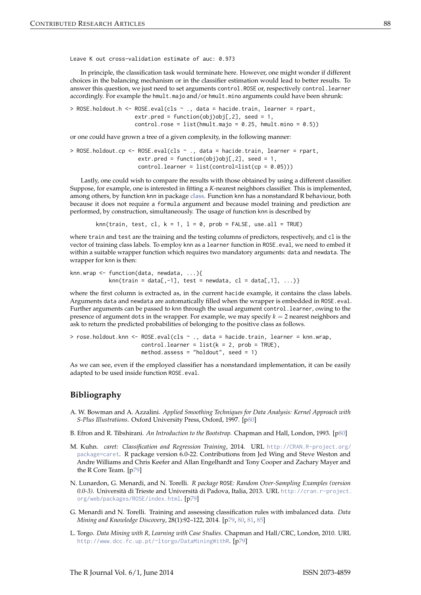Leave K out cross-validation estimate of auc: 0.973

In principle, the classification task would terminate here. However, one might wonder if different choices in the balancing mechanism or in the classifier estimation would lead to better results. To answer this question, we just need to set arguments control.ROSE or, respectively control.learner accordingly. For example the hmult.majo and/or hmult.mino arguments could have been shrunk:

> ROSE.holdout.h <- ROSE.eval(cls ~ ., data = hacide.train, learner = rpart, extr.pred = function(obj)obj[,2], seed = 1, control.rose = list(hmult.majo =  $0.25$ , hmult.mino =  $0.5$ ))

or one could have grown a tree of a given complexity, in the following manner:

```
> ROSE.holdout.cp <- ROSE.eval(cls ~ ., data = hacide.train, learner = rpart,
                     extr.pred = function(obj)obj[, 2], seed = 1,control.lengther = list(control=list(cp = 0.05)))
```
Lastly, one could wish to compare the results with those obtained by using a different classifier. Suppose, for example, one is interested in fitting a *K*-nearest neighbors classifier. This is implemented, among others, by function knn in package **[class](http://CRAN.R-project.org/package=class)**. Function knn has a nonstandard R behaviour, both because it does not require a formula argument and because model training and prediction are performed, by construction, simultaneously. The usage of function knn is described by

knn(train, test, cl,  $k = 1$ ,  $l = 0$ , prob = FALSE, use.all = TRUE)

where train and test are the training and the testing columns of predictors, respectively, and cl is the vector of training class labels. To employ knn as a learner function in ROSE.eval, we need to embed it within a suitable wrapper function which requires two mandatory arguments: data and newdata. The wrapper for knn is then:

```
knn.wrap <- function(data, newdata, ...){
           knn(train = data[, -1], test = newdata, cl = data[, 1], ...)
```
where the first column is extracted as, in the current hacide example, it contains the class labels. Arguments data and newdata are automatically filled when the wrapper is embedded in ROSE.eval. Further arguments can be passed to knn through the usual argument control. learner, owing to the presence of argument dots in the wrapper. For example, we may specify  $k = 2$  nearest neighbors and ask to return the predicted probabilities of belonging to the positive class as follows.

> rose.holdout.knn <- ROSE.eval(cls ~ ., data = hacide.train, learner = knn.wrap,  $controlu$ . learner = list( $k = 2$ , prob = TRUE), method.assess = "holdout", seed = 1)

As we can see, even if the employed classifier has a nonstandard implementation, it can be easily adapted to be used inside function ROSE.eval.

# **Bibliography**

- <span id="page-9-5"></span>A. W. Bowman and A. Azzalini. *Applied Smoothing Techniques for Data Analysis: Kernel Approach with S-Plus Illustrations*. Oxford University Press, Oxford, 1997. [[p80\]](#page-1-0)
- <span id="page-9-4"></span>B. Efron and R. Tibshirani. *An Introduction to the Bootstrap.* Chapman and Hall, London, 1993. [[p80\]](#page-1-0)
- <span id="page-9-1"></span>M. Kuhn. *caret: Classification and Regression Training*, 2014. URL [http://CRAN.R-project.org/](http://CRAN.R-project.org/package=caret) [package=caret](http://CRAN.R-project.org/package=caret). R package version 6.0-22. Contributions from Jed Wing and Steve Weston and Andre Williams and Chris Keefer and Allan Engelhardt and Tony Cooper and Zachary Mayer and the R Core Team. [[p79\]](#page-0-0)
- <span id="page-9-2"></span>N. Lunardon, G. Menardi, and N. Torelli. *R package* ROSE*: Random Over-Sampling Examples (version 0.0-3)*. Università di Trieste and Università di Padova, Italia, 2013. URL [http://cran.r-project.](http://cran.r-project.org/web/packages/ROSE/index.html) [org/web/packages/ROSE/index.html](http://cran.r-project.org/web/packages/ROSE/index.html). [[p79\]](#page-0-0)
- <span id="page-9-3"></span>G. Menardi and N. Torelli. Training and assessing classification rules with imbalanced data. *Data Mining and Knowledge Discovery*, 28(1):92–122, 2014. [[p79,](#page-0-0) [80,](#page-1-0) [81,](#page-2-2) [85\]](#page-6-1)
- <span id="page-9-0"></span>L. Torgo. *Data Mining with R, Learning with Case Studies*. Chapman and Hall/CRC, London, 2010. URL <http://www.dcc.fc.up.pt/~ltorgo/DataMiningWithR>. [[p79\]](#page-0-0)